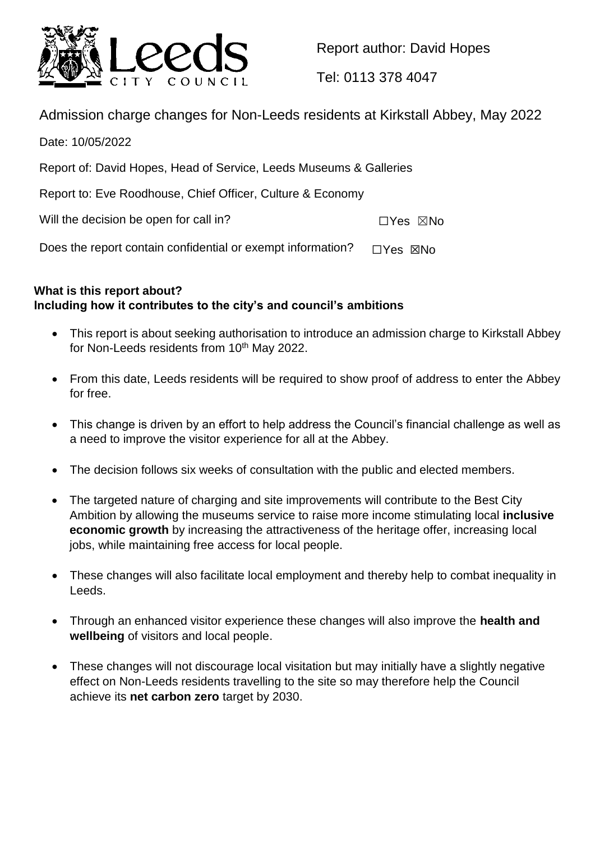

Report author: David Hopes

Tel: 0113 378 4047

Admission charge changes for Non-Leeds residents at Kirkstall Abbey, May 2022

Date: 10/05/2022 Report of: David Hopes, Head of Service, Leeds Museums & Galleries Report to: Eve Roodhouse, Chief Officer, Culture & Economy Will the decision be open for call in? ☐Yes ☒No Does the report contain confidential or exempt information?  $\Box$ Yes  $\boxtimes$ No

# **What is this report about? Including how it contributes to the city's and council's ambitions**

- This report is about seeking authorisation to introduce an admission charge to Kirkstall Abbey for Non-Leeds residents from 10<sup>th</sup> May 2022.
- From this date, Leeds residents will be required to show proof of address to enter the Abbey for free.
- This change is driven by an effort to help address the Council's financial challenge as well as a need to improve the visitor experience for all at the Abbey.
- The decision follows six weeks of consultation with the public and elected members.
- The targeted nature of charging and site improvements will contribute to the Best City Ambition by allowing the museums service to raise more income stimulating local **inclusive economic growth** by increasing the attractiveness of the heritage offer, increasing local jobs, while maintaining free access for local people.
- These changes will also facilitate local employment and thereby help to combat inequality in Leeds.
- Through an enhanced visitor experience these changes will also improve the **health and wellbeing** of visitors and local people.
- These changes will not discourage local visitation but may initially have a slightly negative effect on Non-Leeds residents travelling to the site so may therefore help the Council achieve its **net carbon zero** target by 2030.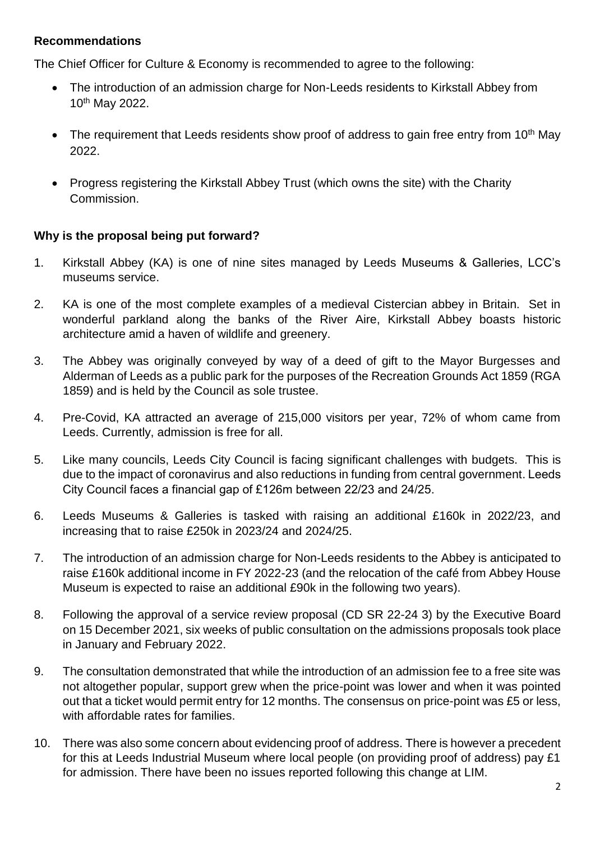### **Recommendations**

The Chief Officer for Culture & Economy is recommended to agree to the following:

- The introduction of an admission charge for Non-Leeds residents to Kirkstall Abbey from 10th May 2022.
- The requirement that Leeds residents show proof of address to gain free entry from 10<sup>th</sup> May 2022.
- Progress registering the Kirkstall Abbey Trust (which owns the site) with the Charity Commission.

### **Why is the proposal being put forward?**

- 1. Kirkstall Abbey (KA) is one of nine sites managed by Leeds Museums & Galleries, LCC's museums service.
- 2. KA is one of the most complete examples of a medieval Cistercian abbey in Britain. Set in wonderful parkland along the banks of the River Aire, Kirkstall Abbey boasts historic architecture amid a haven of wildlife and greenery.
- 3. The Abbey was originally conveyed by way of a deed of gift to the Mayor Burgesses and Alderman of Leeds as a public park for the purposes of the Recreation Grounds Act 1859 (RGA 1859) and is held by the Council as sole trustee.
- 4. Pre-Covid, KA attracted an average of 215,000 visitors per year, 72% of whom came from Leeds. Currently, admission is free for all.
- 5. Like many councils, Leeds City Council is facing significant challenges with budgets. This is due to the impact of coronavirus and also reductions in funding from central government. Leeds City Council faces a financial gap of £126m between 22/23 and 24/25.
- 6. Leeds Museums & Galleries is tasked with raising an additional £160k in 2022/23, and increasing that to raise £250k in 2023/24 and 2024/25.
- 7. The introduction of an admission charge for Non-Leeds residents to the Abbey is anticipated to raise £160k additional income in FY 2022-23 (and the relocation of the café from Abbey House Museum is expected to raise an additional £90k in the following two years).
- 8. Following the approval of a service review proposal (CD SR 22-24 3) by the Executive Board on 15 December 2021, six weeks of public consultation on the admissions proposals took place in January and February 2022.
- 9. The consultation demonstrated that while the introduction of an admission fee to a free site was not altogether popular, support grew when the price-point was lower and when it was pointed out that a ticket would permit entry for 12 months. The consensus on price-point was £5 or less, with affordable rates for families.
- 10. There was also some concern about evidencing proof of address. There is however a precedent for this at Leeds Industrial Museum where local people (on providing proof of address) pay £1 for admission. There have been no issues reported following this change at LIM.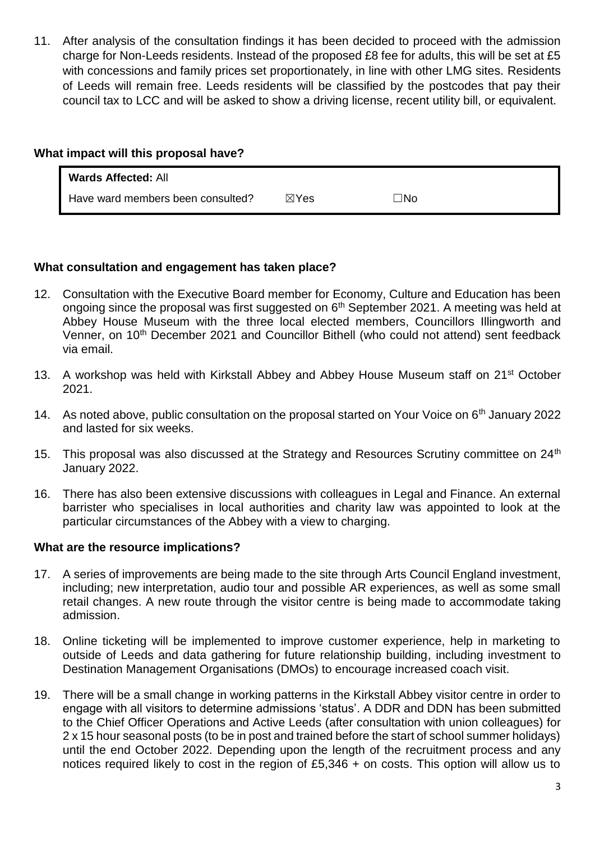11. After analysis of the consultation findings it has been decided to proceed with the admission charge for Non-Leeds residents. Instead of the proposed £8 fee for adults, this will be set at £5 with concessions and family prices set proportionately, in line with other LMG sites. Residents of Leeds will remain free. Leeds residents will be classified by the postcodes that pay their council tax to LCC and will be asked to show a driving license, recent utility bill, or equivalent.

### **What impact will this proposal have?**

| <b>Wards Affected: All</b>        |                 |           |
|-----------------------------------|-----------------|-----------|
| Have ward members been consulted? | $\boxtimes$ Yes | $\neg$ No |

### **What consultation and engagement has taken place?**

- 12. Consultation with the Executive Board member for Economy, Culture and Education has been ongoing since the proposal was first suggested on 6<sup>th</sup> September 2021. A meeting was held at Abbey House Museum with the three local elected members, Councillors Illingworth and Venner, on 10<sup>th</sup> December 2021 and Councillor Bithell (who could not attend) sent feedback via email.
- 13. A workshop was held with Kirkstall Abbey and Abbey House Museum staff on 21<sup>st</sup> October 2021.
- 14. As noted above, public consultation on the proposal started on Your Voice on 6<sup>th</sup> January 2022 and lasted for six weeks.
- 15. This proposal was also discussed at the Strategy and Resources Scrutiny committee on 24<sup>th</sup> January 2022.
- 16. There has also been extensive discussions with colleagues in Legal and Finance. An external barrister who specialises in local authorities and charity law was appointed to look at the particular circumstances of the Abbey with a view to charging.

#### **What are the resource implications?**

- 17. A series of improvements are being made to the site through Arts Council England investment, including; new interpretation, audio tour and possible AR experiences, as well as some small retail changes. A new route through the visitor centre is being made to accommodate taking admission.
- 18. Online ticketing will be implemented to improve customer experience, help in marketing to outside of Leeds and data gathering for future relationship building, including investment to Destination Management Organisations (DMOs) to encourage increased coach visit.
- 19. There will be a small change in working patterns in the Kirkstall Abbey visitor centre in order to engage with all visitors to determine admissions 'status'. A DDR and DDN has been submitted to the Chief Officer Operations and Active Leeds (after consultation with union colleagues) for 2 x 15 hour seasonal posts (to be in post and trained before the start of school summer holidays) until the end October 2022. Depending upon the length of the recruitment process and any notices required likely to cost in the region of £5,346 + on costs. This option will allow us to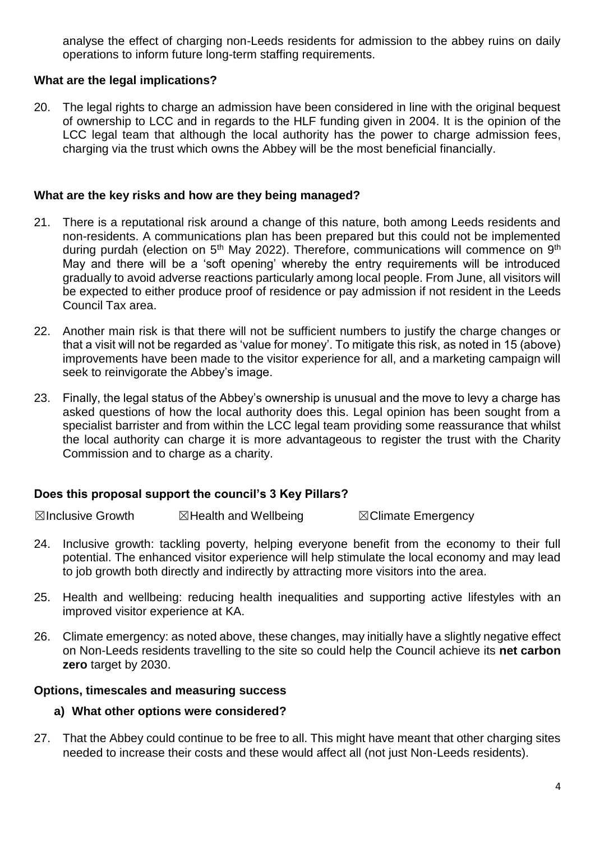analyse the effect of charging non-Leeds residents for admission to the abbey ruins on daily operations to inform future long-term staffing requirements.

### **What are the legal implications?**

20. The legal rights to charge an admission have been considered in line with the original bequest of ownership to LCC and in regards to the HLF funding given in 2004. It is the opinion of the LCC legal team that although the local authority has the power to charge admission fees, charging via the trust which owns the Abbey will be the most beneficial financially.

#### **What are the key risks and how are they being managed?**

- 21. There is a reputational risk around a change of this nature, both among Leeds residents and non-residents. A communications plan has been prepared but this could not be implemented during purdah (election on  $5<sup>th</sup>$  May 2022). Therefore, communications will commence on  $9<sup>th</sup>$ May and there will be a 'soft opening' whereby the entry requirements will be introduced gradually to avoid adverse reactions particularly among local people. From June, all visitors will be expected to either produce proof of residence or pay admission if not resident in the Leeds Council Tax area.
- 22. Another main risk is that there will not be sufficient numbers to justify the charge changes or that a visit will not be regarded as 'value for money'. To mitigate this risk, as noted in 15 (above) improvements have been made to the visitor experience for all, and a marketing campaign will seek to reinvigorate the Abbey's image.
- 23. Finally, the legal status of the Abbey's ownership is unusual and the move to levy a charge has asked questions of how the local authority does this. Legal opinion has been sought from a specialist barrister and from within the LCC legal team providing some reassurance that whilst the local authority can charge it is more advantageous to register the trust with the Charity Commission and to charge as a charity.

### **Does this proposal support the council's 3 Key Pillars?**

**⊠Inclusive Growth** *⊠***Health and Wellbeing** *⊠Climate Emergency* 

- 24. Inclusive growth: tackling poverty, helping everyone benefit from the economy to their full potential. The enhanced visitor experience will help stimulate the local economy and may lead to job growth both directly and indirectly by attracting more visitors into the area.
- 25. Health and wellbeing: reducing health inequalities and supporting active lifestyles with an improved visitor experience at KA.
- 26. Climate emergency: as noted above, these changes, may initially have a slightly negative effect on Non-Leeds residents travelling to the site so could help the Council achieve its **net carbon zero** target by 2030.

#### **Options, timescales and measuring success**

#### **a) What other options were considered?**

27. That the Abbey could continue to be free to all. This might have meant that other charging sites needed to increase their costs and these would affect all (not just Non-Leeds residents).